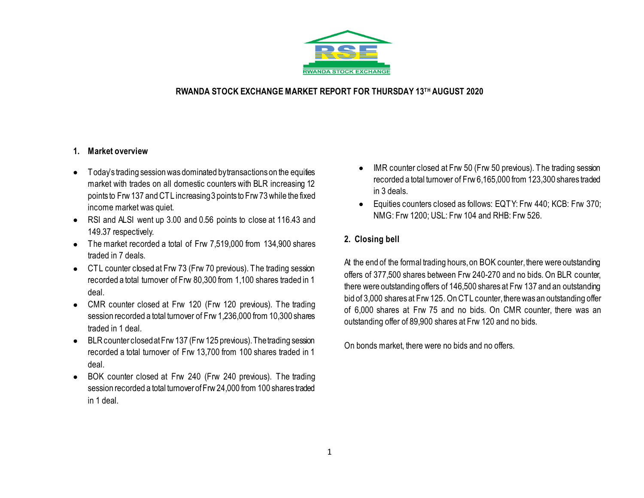

## **RWANDA STOCK EXCHANGE MARKET REPORT FOR THURSDAY 13TH AUGUST 2020**

### **1. Market overview**

- Today's trading session was dominated by transactions on the equities market with trades on all domestic counters with BLR increasing 12 points to Frw 137 and CTL increasing 3 points to Frw 73 while the fixed income market was quiet.
- RSI and ALSI went up 3.00 and 0.56 points to close at 116.43 and 149.37 respectively.
- The market recorded a total of Frw 7,519,000 from 134,900 shares traded in 7 deals.
- CTL counter closed at Frw 73 (Frw 70 previous). The trading session recorded a total turnover of Frw 80,300 from 1,100 shares traded in 1 deal.
- CMR counter closed at Frw 120 (Frw 120 previous). The trading session recorded a total turnover of Frw 1,236,000 from 10,300 shares traded in 1 deal.
- BLRcounter closed at Frw 137 (Frw 125 previous). The trading session recorded a total turnover of Frw 13,700 from 100 shares traded in 1 deal.
- BOK counter closed at Frw 240 (Frw 240 previous). The trading session recorded a total turnover of Frw 24,000 from 100 shares traded in 1 deal.
- IMR counter closed at Frw 50 (Frw 50 previous). The trading session recorded a total turnover of Frw 6,165,000 from 123,300 shares traded in 3 deals.
- Equities counters closed as follows: EQTY: Frw 440; KCB: Frw 370; NMG: Frw 1200; USL: Frw 104 and RHB: Frw 526.

## **2. Closing bell**

At the end of the formal trading hours, on BOK counter, there were outstanding offers of 377,500 shares between Frw 240-270 and no bids. On BLR counter, there were outstanding offers of 146,500 shares at Frw 137 and an outstanding bid of 3,000 shares at Frw 125. On CTL counter, there was an outstanding offer of 6,000 shares at Frw 75 and no bids. On CMR counter, there was an outstanding offer of 89,900 shares at Frw 120 and no bids.

On bonds market, there were no bids and no offers.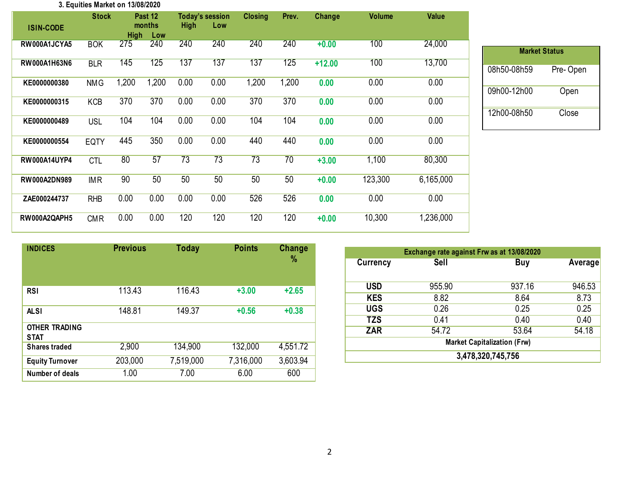#### **3. Equities Market on 13/08/2020**

| <b>ISIN-CODE</b>    | <b>Stock</b> | <b>High</b> | Past 12<br>months<br>Low | <b>High</b> | <b>Today's session</b><br>Low | <b>Closing</b>  | Prev. | Change   | <b>Volume</b> | <b>Value</b> |
|---------------------|--------------|-------------|--------------------------|-------------|-------------------------------|-----------------|-------|----------|---------------|--------------|
| RW000A1JCYA5        | <b>BOK</b>   | 275         | 240                      | 240         | 240                           | 240             | 240   | $+0.00$  | 100           | 24,000       |
| RW000A1H63N6        | <b>BLR</b>   | 145         | 125                      | 137         | 137                           | 137             | 125   | $+12.00$ | 100           | 13,700       |
| KE0000000380        | <b>NMG</b>   | 1,200       | 1,200                    | 0.00        | 0.00                          | 1,200           | 1,200 | 0.00     | 0.00          | 0.00         |
| KE0000000315        | <b>KCB</b>   | 370         | 370                      | 0.00        | 0.00                          | 370             | 370   | 0.00     | 0.00          | 0.00         |
| KE0000000489        | <b>USL</b>   | 104         | 104                      | 0.00        | 0.00                          | 104             | 104   | 0.00     | 0.00          | 0.00         |
| KE0000000554        | <b>EQTY</b>  | 445         | 350                      | 0.00        | 0.00                          | 440             | 440   | 0.00     | 0.00          | 0.00         |
| <b>RW000A14UYP4</b> | <b>CTL</b>   | 80          | 57                       | 73          | 73                            | $\overline{73}$ | 70    | $+3.00$  | 1,100         | 80,300       |
| RW000A2DN989        | <b>IMR</b>   | 90          | 50                       | 50          | 50                            | 50              | 50    | $+0.00$  | 123,300       | 6,165,000    |
| ZAE000244737        | <b>RHB</b>   | 0.00        | 0.00                     | 0.00        | 0.00                          | 526             | 526   | 0.00     | 0.00          | 0.00         |
| RW000A2QAPH5        | <b>CMR</b>   | 0.00        | 0.00                     | 120         | 120                           | 120             | 120   | $+0.00$  | 10,300        | 1,236,000    |

| <b>Market Status</b> |           |
|----------------------|-----------|
| 08h50-08h59          | Pre- Open |
| 09h00-12h00          | Open      |
| 12h00-08h50          | Close     |

| <b>INDICES</b>                      | <b>Previous</b> | <b>Today</b> | <b>Points</b> | <b>Change</b><br>% |
|-------------------------------------|-----------------|--------------|---------------|--------------------|
| <b>RSI</b>                          | 113.43          | 116.43       | $+3.00$       | $+2.65$            |
| <b>ALSI</b>                         | 148.81          | 149.37       | $+0.56$       | $+0.38$            |
| <b>OTHER TRADING</b><br><b>STAT</b> |                 |              |               |                    |
| <b>Shares traded</b>                | 2,900           | 134,900      | 132,000       | 4,551.72           |
| <b>Equity Turnover</b>              | 203,000         | 7,519,000    | 7,316,000     | 3,603.94           |
| Number of deals                     | 1.00            | 7.00         | 6.00          | 600                |

| Exchange rate against Frw as at 13/08/2020 |        |        |         |  |  |  |  |  |
|--------------------------------------------|--------|--------|---------|--|--|--|--|--|
| <b>Currency</b>                            | Sell   | Buy    | Average |  |  |  |  |  |
|                                            |        |        |         |  |  |  |  |  |
| <b>USD</b>                                 | 955.90 | 937.16 | 946.53  |  |  |  |  |  |
| <b>KES</b>                                 | 8.82   | 8.64   | 8.73    |  |  |  |  |  |
| <b>UGS</b>                                 | 0.26   | 0.25   | 0.25    |  |  |  |  |  |
| <b>TZS</b>                                 | 0.41   | 0.40   | 0.40    |  |  |  |  |  |
| <b>ZAR</b>                                 | 54.72  | 53.64  | 54.18   |  |  |  |  |  |
| <b>Market Capitalization (Frw)</b>         |        |        |         |  |  |  |  |  |
| 3,478,320,745,756                          |        |        |         |  |  |  |  |  |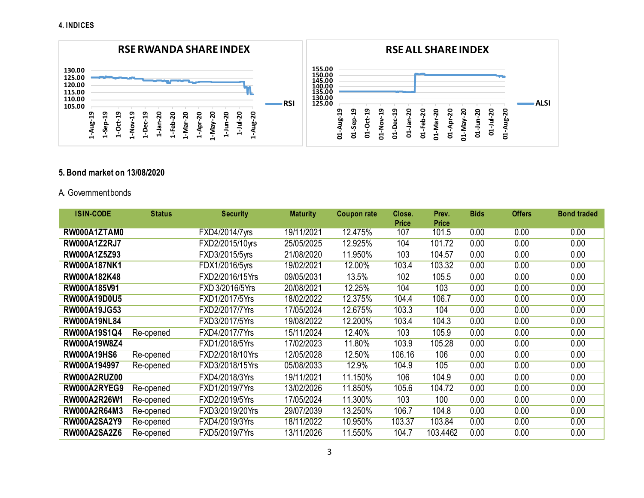

### **5. Bond market on 13/08/2020**

### A**.** Government bonds

| <b>ISIN-CODE</b>    | <b>Status</b> | <b>Security</b> | <b>Maturity</b> | Coupon rate | Close.<br>Price | Prev.<br><b>Price</b> | <b>Bids</b> | <b>Offers</b> | <b>Bond traded</b> |
|---------------------|---------------|-----------------|-----------------|-------------|-----------------|-----------------------|-------------|---------------|--------------------|
| RW000A1ZTAM0        |               | FXD4/2014/7yrs  | 19/11/2021      | 12.475%     | 107             | 101.5                 | 0.00        | 0.00          | 0.00               |
| <b>RW000A1Z2RJ7</b> |               | FXD2/2015/10yrs | 25/05/2025      | 12.925%     | 104             | 101.72                | 0.00        | 0.00          | 0.00               |
| RW000A1Z5Z93        |               | FXD3/2015/5yrs  | 21/08/2020      | 11.950%     | 103             | 104.57                | 0.00        | 0.00          | 0.00               |
| <b>RW000A187NK1</b> |               | FDX1/2016/5yrs  | 19/02/2021      | 12.00%      | 103.4           | 103.32                | 0.00        | 0.00          | 0.00               |
| RW000A182K48        |               | FXD2/2016/15Yrs | 09/05/2031      | 13.5%       | 102             | 105.5                 | 0.00        | 0.00          | 0.00               |
| RW000A185V91        |               | FXD 3/2016/5Yrs | 20/08/2021      | 12.25%      | 104             | 103                   | 0.00        | 0.00          | 0.00               |
| <b>RW000A19D0U5</b> |               | FXD1/2017/5Yrs  | 18/02/2022      | 12.375%     | 104.4           | 106.7                 | 0.00        | 0.00          | 0.00               |
| RW000A19JG53        |               | FXD2/2017/7Yrs  | 17/05/2024      | 12.675%     | 103.3           | 104                   | 0.00        | 0.00          | 0.00               |
| <b>RW000A19NL84</b> |               | FXD3/2017/5Yrs  | 19/08/2022      | 12.200%     | 103.4           | 104.3                 | 0.00        | 0.00          | 0.00               |
| RW000A19S1Q4        | Re-opened     | FXD4/2017/7Yrs  | 15/11/2024      | 12.40%      | 103             | 105.9                 | 0.00        | 0.00          | 0.00               |
| RW000A19W8Z4        |               | FXD1/2018/5Yrs  | 17/02/2023      | 11.80%      | 103.9           | 105.28                | 0.00        | 0.00          | 0.00               |
| <b>RW000A19HS6</b>  | Re-opened     | FXD2/2018/10Yrs | 12/05/2028      | 12.50%      | 106.16          | 106                   | 0.00        | 0.00          | 0.00               |
| RW000A194997        | Re-opened     | FXD3/2018/15Yrs | 05/08/2033      | 12.9%       | 104.9           | 105                   | 0.00        | 0.00          | 0.00               |
| <b>RW000A2RUZ00</b> |               | FXD4/2018/3Yrs  | 19/11/2021      | 11.150%     | 106             | 104.9                 | 0.00        | 0.00          | 0.00               |
| RW000A2RYEG9        | Re-opened     | FXD1/2019/7Yrs  | 13/02/2026      | 11.850%     | 105.6           | 104.72                | 0.00        | 0.00          | 0.00               |
| RW000A2R26W1        | Re-opened     | FXD2/2019/5Yrs  | 17/05/2024      | 11.300%     | 103             | 100                   | 0.00        | 0.00          | 0.00               |
| RW000A2R64M3        | Re-opened     | FXD3/2019/20Yrs | 29/07/2039      | 13.250%     | 106.7           | 104.8                 | 0.00        | 0.00          | 0.00               |
| <b>RW000A2SA2Y9</b> | Re-opened     | FXD4/2019/3Yrs  | 18/11/2022      | 10.950%     | 103.37          | 103.84                | 0.00        | 0.00          | 0.00               |
| <b>RW000A2SA2Z6</b> | Re-opened     | FXD5/2019/7Yrs  | 13/11/2026      | 11.550%     | 104.7           | 103.4462              | 0.00        | 0.00          | 0.00               |